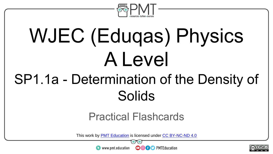

# WJEC (Eduqas) Physics A Level

## SP1.1a - Determination of the Density of Solids

#### Practical Flashcards

This work by <u>PMT Education</u> is licensed under CC BY-NC-ND 4.0<br>
www.pmt.education **in the CO CO** PMTEducation



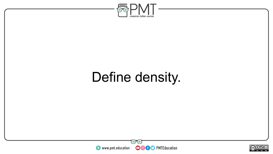

### Define density.



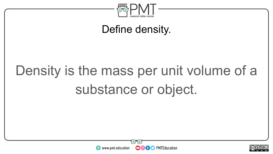

Define density.

## Density is the mass per unit volume of a substance or object.



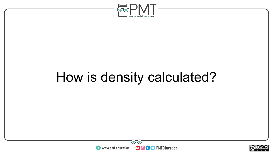

## How is density calculated?



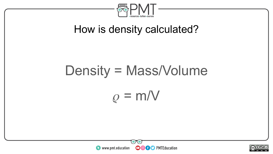

#### How is density calculated?

# Density = Mass/Volume  $\rho = m/V$



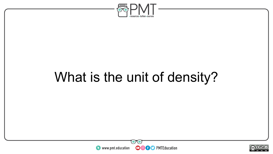

### What is the unit of density?



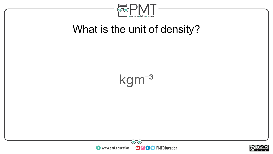

#### What is the unit of density?





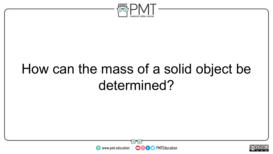

### How can the mass of a solid object be determined?



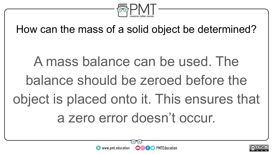

How can the mass of a solid object be determined?

A mass balance can be used. The balance should be zeroed before the object is placed onto it. This ensures that a zero error doesn't occur.



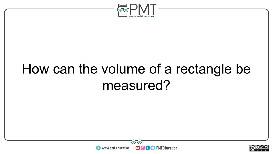

### How can the volume of a rectangle be measured?



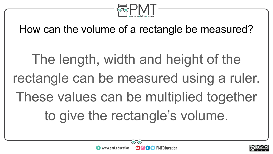

How can the volume of a rectangle be measured?

The length, width and height of the rectangle can be measured using a ruler. These values can be multiplied together to give the rectangle's volume.



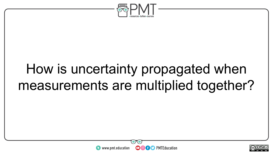

### How is uncertainty propagated when measurements are multiplied together?



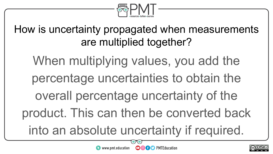

How is uncertainty propagated when measurements are multiplied together?

When multiplying values, you add the percentage uncertainties to obtain the overall percentage uncertainty of the product. This can then be converted back

into an absolute uncertainty if required.

**OOOO** PMTEducation

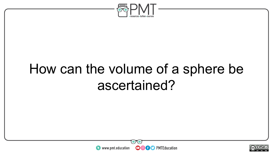

### How can the volume of a sphere be ascertained?



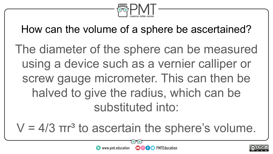

How can the volume of a sphere be ascertained?

The diameter of the sphere can be measured using a device such as a vernier calliper or screw gauge micrometer. This can then be halved to give the radius, which can be substituted into:

 $V = 4/3$   $\pi r^3$  to ascertain the sphere's volume.



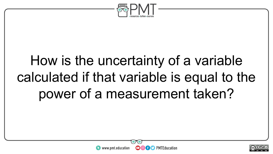

## How is the uncertainty of a variable calculated if that variable is equal to the power of a measurement taken?



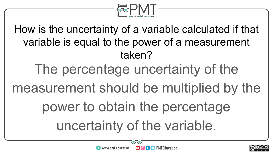

How is the uncertainty of a variable calculated if that variable is equal to the power of a measurement taken? The percentage uncertainty of the measurement should be multiplied by the power to obtain the percentage uncertainty of the variable.



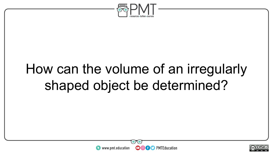

### How can the volume of an irregularly shaped object be determined?



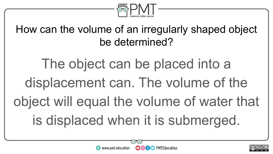

How can the volume of an irregularly shaped object be determined?

The object can be placed into a displacement can. The volume of the object will equal the volume of water that is displaced when it is submerged.



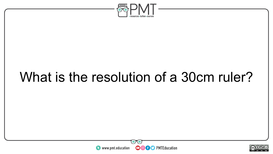

### What is the resolution of a 30cm ruler?



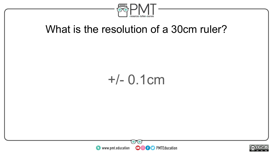

#### What is the resolution of a 30cm ruler?

#### +/- 0.1cm



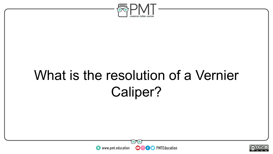

### What is the resolution of a Vernier Caliper?



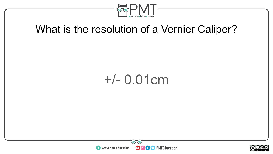

#### What is the resolution of a Vernier Caliper?

#### +/- 0.01cm



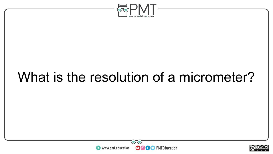

### What is the resolution of a micrometer?



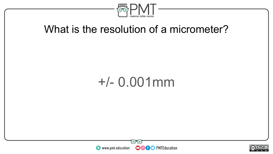

#### What is the resolution of a micrometer?

#### +/- 0.001mm



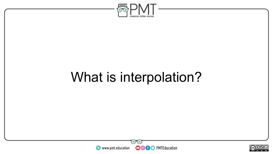

### What is interpolation?